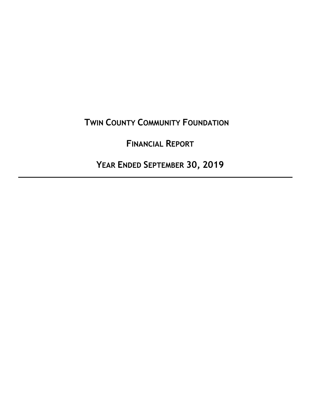# **TWIN COUNTY COMMUNITY FOUNDATION**

# **FINANCIAL REPORT**

 **YEAR ENDED SEPTEMBER 30, 2019**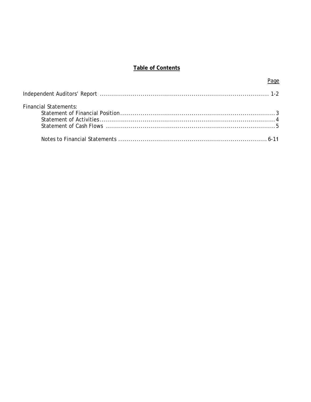# **Table of Contents**

Page

| <b>Financial Statements:</b> |  |
|------------------------------|--|
|                              |  |
|                              |  |
|                              |  |
|                              |  |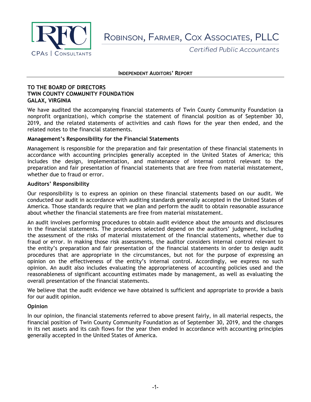

ROBINSON, FARMER, COX ASSOCIATES, PLLC

Certified Public Accountants

#### **INDEPENDENT AUDITORS' REPORT**

#### **TO THE BOARD OF DIRECTORS TWIN COUNTY COMMUNITY FOUNDATION GALAX, VIRGINIA**

We have audited the accompanying financial statements of Twin County Community Foundation (a nonprofit organization), which comprise the statement of financial position as of September 30, 2019, and the related statements of activities and cash flows for the year then ended, and the related notes to the financial statements.

#### **Management's Responsibility for the Financial Statements**

Management is responsible for the preparation and fair presentation of these financial statements in accordance with accounting principles generally accepted in the United States of America; this includes the design, implementation, and maintenance of internal control relevant to the preparation and fair presentation of financial statements that are free from material misstatement, whether due to fraud or error.

#### **Auditors' Responsibility**

Our responsibility is to express an opinion on these financial statements based on our audit. We conducted our audit in accordance with auditing standards generally accepted in the United States of America. Those standards require that we plan and perform the audit to obtain reasonable assurance about whether the financial statements are free from material misstatement.

An audit involves performing procedures to obtain audit evidence about the amounts and disclosures in the financial statements. The procedures selected depend on the auditors' judgment, including the assessment of the risks of material misstatement of the financial statements, whether due to fraud or error. In making those risk assessments, the auditor considers internal control relevant to the entity's preparation and fair presentation of the financial statements in order to design audit procedures that are appropriate in the circumstances, but not for the purpose of expressing an opinion on the effectiveness of the entity's internal control. Accordingly, we express no such opinion. An audit also includes evaluating the appropriateness of accounting policies used and the reasonableness of significant accounting estimates made by management, as well as evaluating the overall presentation of the financial statements.

We believe that the audit evidence we have obtained is sufficient and appropriate to provide a basis for our audit opinion.

#### **Opinion**

In our opinion, the financial statements referred to above present fairly, in all material respects, the financial position of Twin County Community Foundation as of September 30, 2019, and the changes in its net assets and its cash flows for the year then ended in accordance with accounting principles generally accepted in the United States of America.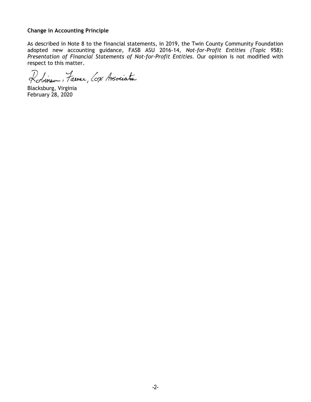# **Change in Accounting Principle**

As described in Note 8 to the financial statements, in 2019, the Twin County Community Foundation adopted new accounting guidance, FASB ASU 2016-14, *Not-for-Profit Entities (Topic 958): Presentation of Financial Statements of Not-for-Profit Entities.* Our opinion is not modified with respect to this matter.

Robinsa, Tainer, Cox Associates

Blacksburg, Virginia February 28, 2020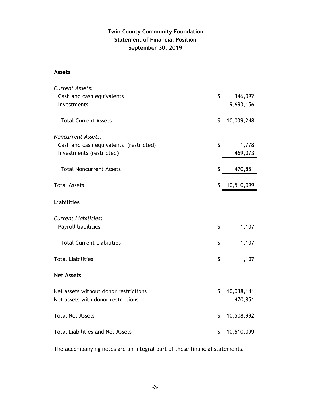# **Statement of Financial Position September 30, 2019 Twin County Community Foundation**

# **Assets**

| <b>Current Assets:</b>                  |                  |
|-----------------------------------------|------------------|
| Cash and cash equivalents               | \$<br>346,092    |
| Investments                             | 9,693,156        |
|                                         |                  |
| <b>Total Current Assets</b>             | \$<br>10,039,248 |
| <b>Noncurrent Assets:</b>               |                  |
| Cash and cash equivalents (restricted)  | \$<br>1,778      |
| Investments (restricted)                | 469,073          |
| <b>Total Noncurrent Assets</b>          | \$<br>470,851    |
| <b>Total Assets</b>                     | \$<br>10,510,099 |
| <b>Liabilities</b>                      |                  |
| <b>Current Liabilities:</b>             |                  |
| Payroll liabilities                     | \$<br>1,107      |
| <b>Total Current Liabilities</b>        | \$<br>1,107      |
| <b>Total Liabilities</b>                | \$<br>1,107      |
| <b>Net Assets</b>                       |                  |
| Net assets without donor restrictions   | \$<br>10,038,141 |
| Net assets with donor restrictions      | 470,851          |
| <b>Total Net Assets</b>                 | \$<br>10,508,992 |
| <b>Total Liabilities and Net Assets</b> | \$<br>10,510,099 |

The accompanying notes are an integral part of these financial statements.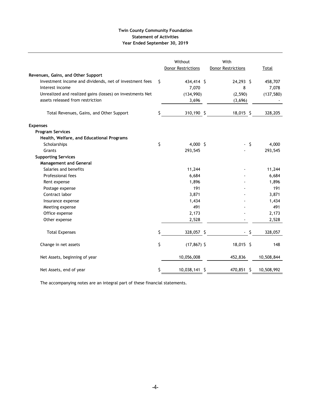#### **Twin County Community Foundation Statement of Activities Year Ended September 30, 2019**

| Revenues, Gains, and Other Support                                         | Without<br><b>Donor Restrictions</b> | With<br><b>Donor Restrictions</b> |      | Total            |
|----------------------------------------------------------------------------|--------------------------------------|-----------------------------------|------|------------------|
|                                                                            |                                      |                                   |      |                  |
| Investment income and dividends, net of investment fees<br>Interest income | \$<br>434,414 \$<br>7,070            | 24,293 \$<br>8                    |      | 458,707<br>7,078 |
| Unrealized and realized gains (losses) on investments Net                  |                                      |                                   |      | (137, 580)       |
| assets released from restriction                                           | (134,990)                            | (2, 590)                          |      |                  |
|                                                                            | 3,696                                | (3,696)                           |      |                  |
| Total Revenues, Gains, and Other Support                                   | \$<br>310,190 \$                     | 18,015 \$                         |      | 328,205          |
| <b>Expenses</b>                                                            |                                      |                                   |      |                  |
| <b>Program Services</b>                                                    |                                      |                                   |      |                  |
| Health, Welfare, and Educational Programs                                  |                                      |                                   |      |                  |
| Scholarships                                                               | \$<br>4,000 \$                       |                                   | - \$ | 4,000            |
| Grants                                                                     | 293,545                              |                                   |      | 293,545          |
| <b>Supporting Services</b>                                                 |                                      |                                   |      |                  |
| <b>Management and General</b>                                              |                                      |                                   |      |                  |
| Salaries and benefits                                                      | 11,244                               |                                   |      | 11,244           |
| Professional fees                                                          | 6,684                                |                                   |      | 6,684            |
| Rent expense                                                               | 1,896                                |                                   |      | 1,896            |
| Postage expense                                                            | 191                                  |                                   |      | 191              |
| Contract labor                                                             | 3,871                                |                                   |      | 3,871            |
| Insurance expense                                                          | 1,434                                |                                   |      | 1,434            |
| Meeting expense                                                            | 491                                  |                                   |      | 491              |
| Office expense                                                             | 2,173                                |                                   |      | 2,173            |
| Other expense                                                              | 2,528                                |                                   |      | 2,528            |
| <b>Total Expenses</b>                                                      | \$<br>328,057 \$                     | ٠                                 | - \$ | 328,057          |
| Change in net assets                                                       | \$<br>$(17, 867)$ \$                 | 18,015 \$                         |      | 148              |
| Net Assets, beginning of year                                              | 10,056,008                           | 452,836                           |      | 10,508,844       |
| Net Assets, end of year                                                    | \$<br>10,038,141 \$                  | 470,851 \$                        |      | 10,508,992       |

The accompanying notes are an integral part of these financial statements.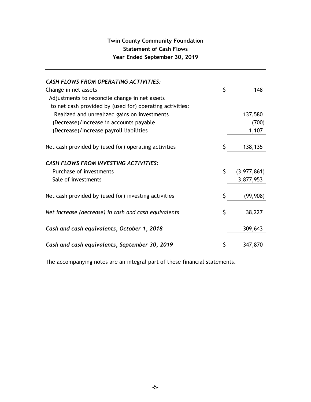# **Twin County Community Foundation Statement of Cash Flows Year Ended September 30, 2019**

| <b>CASH FLOWS FROM OPERATING ACTIVITIES:</b><br>Change in net assets                                      | \$ | 148         |
|-----------------------------------------------------------------------------------------------------------|----|-------------|
| Adjustments to reconcile change in net assets<br>to net cash provided by (used for) operating activities: |    |             |
| Realized and unrealized gains on investments                                                              |    | 137,580     |
| (Decrease)/Increase in accounts payable                                                                   |    | (700)       |
| (Decrease)/Increase payroll liabilities                                                                   |    | 1,107       |
| Net cash provided by (used for) operating activities                                                      |    | 138,135     |
| <b>CASH FLOWS FROM INVESTING ACTIVITIES:</b>                                                              |    |             |
| Purchase of investments                                                                                   | Ś. | (3,977,861) |
| Sale of investments                                                                                       |    | 3,877,953   |
| Net cash provided by (used for) investing activities                                                      | \$ | (99, 908)   |
| Net increase (decrease) in cash and cash equivalents                                                      | \$ | 38,227      |
| Cash and cash equivalents, October 1, 2018                                                                |    | 309,643     |
| Cash and cash equivalents, September 30, 2019                                                             | \$ | 347,870     |

The accompanying notes are an integral part of these financial statements.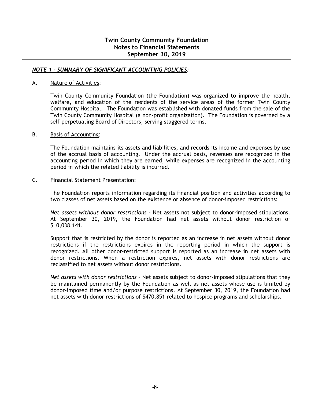# *NOTE 1 - SUMMARY OF SIGNIFICANT ACCOUNTING POLICIES:*

#### A. Nature of Activities:

Twin County Community Foundation (the Foundation) was organized to improve the health, welfare, and education of the residents of the service areas of the former Twin County Community Hospital. The Foundation was established with donated funds from the sale of the Twin County Community Hospital (a non-profit organization). The Foundation is governed by a self-perpetuating Board of Directors, serving staggered terms.

#### B. Basis of Accounting:

The Foundation maintains its assets and liabilities, and records its income and expenses by use of the accrual basis of accounting. Under the accrual basis, revenues are recognized in the accounting period in which they are earned, while expenses are recognized in the accounting period in which the related liability is incurred.

#### C. Financial Statement Presentation:

The Foundation reports information regarding its financial position and activities according to two classes of net assets based on the existence or absence of donor-imposed restrictions:

*Net assets without donor restrictions –* Net assets not subject to donor-imposed stipulations. At September 30, 2019, the Foundation had net assets without donor restriction of \$10,038,141.

Support that is restricted by the donor is reported as an increase in net assets without donor restrictions if the restrictions expires in the reporting period in which the support is recognized. All other donor-restricted support is reported as an increase in net assets with donor restrictions. When a restriction expires, net assets with donor restrictions are reclassified to net assets without donor restrictions.

*Net assets with donor restrictions –* Net assets subject to donor-imposed stipulations that they be maintained permanently by the Foundation as well as net assets whose use is limited by donor-imposed time and/or purpose restrictions. At September 30, 2019, the Foundation had net assets with donor restrictions of \$470,851 related to hospice programs and scholarships.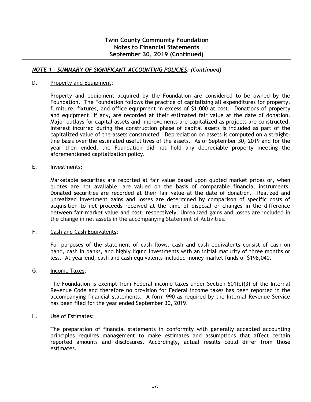# *NOTE 1 - SUMMARY OF SIGNIFICANT ACCOUNTING POLICIES: (Continued)*

#### D. Property and Equipment:

Property and equipment acquired by the Foundation are considered to be owned by the Foundation. The Foundation follows the practice of capitalizing all expenditures for property, furniture, fixtures, and office equipment in excess of \$1,000 at cost. Donations of property and equipment, if any, are recorded at their estimated fair value at the date of donation. Major outlays for capital assets and improvements are capitalized as projects are constructed. Interest incurred during the construction phase of capital assets is included as part of the capitalized value of the assets constructed. Depreciation on assets is computed on a straightline basis over the estimated useful lives of the assets. As of September 30, 2019 and for the year then ended, the Foundation did not hold any depreciable property meeting the aforementioned capitalization policy.

#### E. Investments:

Marketable securities are reported at fair value based upon quoted market prices or, when quotes are not available, are valued on the basis of comparable financial instruments. Donated securities are recorded at their fair value at the date of donation. Realized and unrealized investment gains and losses are determined by comparison of specific costs of acquisition to net proceeds received at the time of disposal or changes in the difference between fair market value and cost, respectively. Unrealized gains and losses are included in the change in net assets in the accompanying Statement of Activities.

#### F. Cash and Cash Equivalents:

For purposes of the statement of cash flows, cash and cash equivalents consist of cash on hand, cash in banks, and highly liquid investments with an initial maturity of three months or less. At year end, cash and cash equivalents included money market funds of \$198,040.

#### G. Income Taxes:

The Foundation is exempt from Federal income taxes under Section  $501(c)(3)$  of the Internal Revenue Code and therefore no provision for Federal income taxes has been reported in the accompanying financial statements. A form 990 as required by the Internal Revenue Service has been filed for the year ended September 30, 2019.

#### H. Use of Estimates:

The preparation of financial statements in conformity with generally accepted accounting principles requires management to make estimates and assumptions that affect certain reported amounts and disclosures. Accordingly, actual results could differ from those estimates.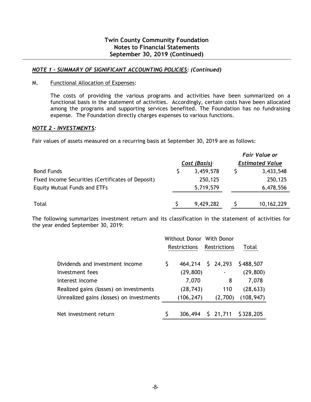# **Twin County Community Foundation Notes to Financial Statements September 30, 2019 (Continued)**

# *NOTE 1 - SUMMARY OF SIGNIFICANT ACCOUNTING POLICIES: (Continued)*

#### M. Functional Allocation of Expenses:

The costs of providing the various programs and activities have been summarized on a functional basis in the statement of activities. Accordingly, certain costs have been allocated among the programs and supporting services benefited. The Foundation has no fundraising expense. The Foundation directly charges expenses to various functions.

#### *NOTE 2 - INVESTMENTS:*

Fair values of assets measured on a recurring basis at September 30, 2019 are as follows:

|                                                   |              | <b>Fair Value or</b>   |
|---------------------------------------------------|--------------|------------------------|
|                                                   | Cost (Basis) | <b>Estimated Value</b> |
| <b>Bond Funds</b>                                 | 3,459,578    | 3,433,548              |
| Fixed Income Securities (Certificates of Deposit) | 250,125      | 250,125                |
| <b>Equity Mutual Funds and ETFs</b>               | 5,719,579    | 6,478,556              |
| Total                                             | 9,429,282    | 10,162,229             |
|                                                   |              |                        |

The following summarizes investment return and its classification in the statement of activities for the year ended September 30, 2019:

|                                          | Without Donor With Donor |                     |  |                 |            |
|------------------------------------------|--------------------------|---------------------|--|-----------------|------------|
|                                          |                          | <b>Restrictions</b> |  | Restrictions    | Total      |
| Dividends and investment income          | \$                       | 464,214             |  | $5\quad 24,293$ | \$488,507  |
| Investment fees                          |                          | (29, 800)           |  |                 | (29, 800)  |
| Interest income                          |                          | 7,070               |  | 8               | 7,078      |
| Realized gains (losses) on investments   |                          | (28, 743)           |  | 110             | (28, 633)  |
| Unrealized gains (losses) on investments |                          | (106, 247)          |  | (2,700)         | (108, 947) |
|                                          |                          |                     |  |                 |            |
| Net investment return                    |                          | 306,494             |  | 521,711         | \$328,205  |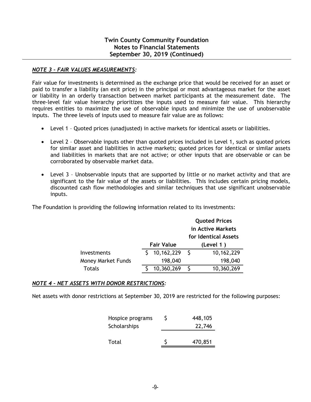# *NOTE 3 – FAIR VALUES MEASUREMENTS:*

Fair value for investments is determined as the exchange price that would be received for an asset or paid to transfer a liability (an exit price) in the principal or most advantageous market for the asset or liability in an orderly transaction between market participants at the measurement date. The three-level fair value hierarchy prioritizes the inputs used to measure fair value. This hierarchy requires entities to maximize the use of observable inputs and minimize the use of unobservable inputs. The three levels of inputs used to measure fair value are as follows:

- Level 1 Quoted prices (unadjusted) in active markets for identical assets or liabilities.
- Level 2 Observable inputs other than quoted prices included in Level 1, such as quoted prices for similar asset and liabilities in active markets; quoted prices for identical or similar assets and liabilities in markets that are not active; or other inputs that are observable or can be corroborated by observable market data.
- Level 3 Unobservable inputs that are supported by little or no market activity and that are significant to the fair value of the assets or liabilities. This includes certain pricing models, discounted cash flow methodologies and similar techniques that use significant unobservable inputs.

The Foundation is providing the following information related to its investments:

|                           |                   | <b>Quoted Prices</b> |            |  |
|---------------------------|-------------------|----------------------|------------|--|
|                           |                   | in Active Markets    |            |  |
|                           |                   | for Identical Assets |            |  |
|                           | <b>Fair Value</b> |                      | (Level 1)  |  |
| Investments               | 10,162,229        | <sup>S</sup>         | 10,162,229 |  |
| <b>Money Market Funds</b> | 198,040           |                      | 198,040    |  |
| Totals                    | 10,360,269        |                      | 10,360,269 |  |

# *NOTE 4 – NET ASSETS WITH DONOR RESTRICTIONS:*

Net assets with donor restrictions at September 30, 2019 are restricted for the following purposes:

| Hospice programs | 448,105 |
|------------------|---------|
| Scholarships     | 22,746  |
|                  |         |
| Total            | 470,851 |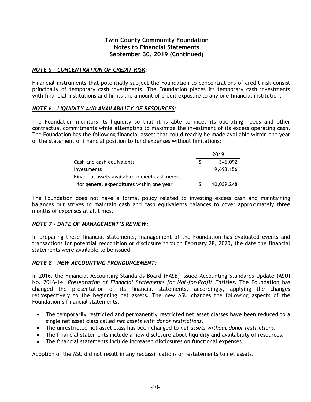# *NOTE 5 – CONCENTRATION OF CREDIT RISK:*

Financial instruments that potentially subject the Foundation to concentrations of credit risk consist principally of temporary cash investments. The Foundation places its temporary cash investments with financial institutions and limits the amount of credit exposure to any one financial institution.

# *NOTE 6 – LIQUIDITY AND AVAILABILITY OF RESOURCES:*

The Foundation monitors its liquidity so that it is able to meet its operating needs and other contractual commitments while attempting to maximize the investment of its excess operating cash. The Foundation has the following financial assets that could readily be made available within one year of the statement of financial position to fund expenses without limitations:

|                                               | 2019       |  |  |
|-----------------------------------------------|------------|--|--|
| Cash and cash equivalents                     | 346,092    |  |  |
| <b>Investments</b>                            | 9,693,156  |  |  |
| Financial assets available to meet cash needs |            |  |  |
| for general expenditures within one year      | 10,039,248 |  |  |

The Foundation does not have a formal policy related to investing excess cash and maintaining balances but strives to maintain cash and cash equivalents balances to cover approximately three months of expenses at all times.

# *NOTE 7 – DATE OF MANAGEMENT'S REVIEW:*

In preparing these financial statements, management of the Foundation has evaluated events and transactions for potential recognition or disclosure through February 28, 2020, the date the financial statements were available to be issued.

# *NOTE 8 – NEW ACCOUNTING PRONOUNCEMENT:*

In 2016, the Financial Accounting Standards Board (FASB) issued Accounting Standards Update (ASU) No. 2016-14, *Presentation of Financial Statements for Not-for-Profit Entities*. The Foundation has changed the presentation of its financial statements, accordingly, applying the changes retrospectively to the beginning net assets. The new ASU changes the following aspects of the Foundation's financial statements:

- The temporarily restricted and permanently restricted net asset classes have been reduced to a single net asset class called *net assets with donor restrictions.*
- The unrestricted net asset class has been changed to *net assets without donor restrictions.*
- The financial statements include a new disclosure about liquidity and availability of resources.
- The financial statements include increased disclosures on functional expenses.

Adoption of the ASU did not result in any reclassifications or restatements to net assets.